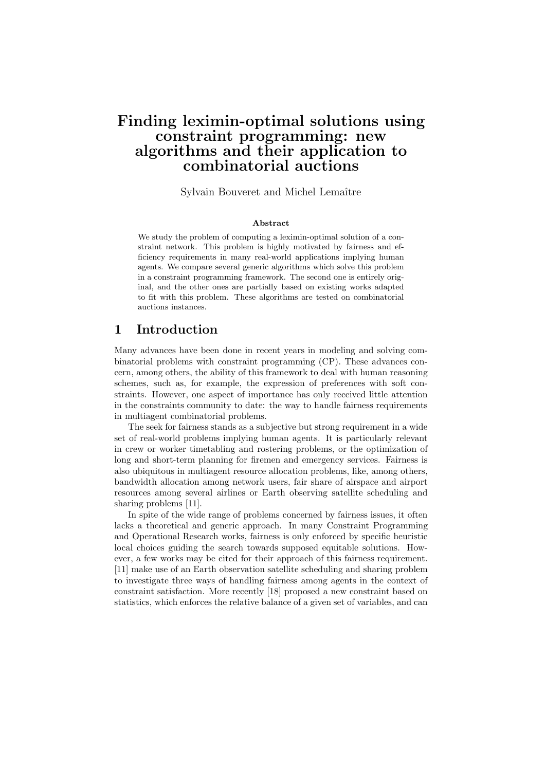# Finding leximin-optimal solutions using constraint programming: new algorithms and their application to combinatorial auctions

#### Sylvain Bouveret and Michel Lemaître

#### Abstract

We study the problem of computing a leximin-optimal solution of a constraint network. This problem is highly motivated by fairness and efficiency requirements in many real-world applications implying human agents. We compare several generic algorithms which solve this problem in a constraint programming framework. The second one is entirely original, and the other ones are partially based on existing works adapted to fit with this problem. These algorithms are tested on combinatorial auctions instances.

### 1 Introduction

Many advances have been done in recent years in modeling and solving combinatorial problems with constraint programming (CP). These advances concern, among others, the ability of this framework to deal with human reasoning schemes, such as, for example, the expression of preferences with soft constraints. However, one aspect of importance has only received little attention in the constraints community to date: the way to handle fairness requirements in multiagent combinatorial problems.

The seek for fairness stands as a subjective but strong requirement in a wide set of real-world problems implying human agents. It is particularly relevant in crew or worker timetabling and rostering problems, or the optimization of long and short-term planning for firemen and emergency services. Fairness is also ubiquitous in multiagent resource allocation problems, like, among others, bandwidth allocation among network users, fair share of airspace and airport resources among several airlines or Earth observing satellite scheduling and sharing problems [11].

In spite of the wide range of problems concerned by fairness issues, it often lacks a theoretical and generic approach. In many Constraint Programming and Operational Research works, fairness is only enforced by specific heuristic local choices guiding the search towards supposed equitable solutions. However, a few works may be cited for their approach of this fairness requirement. [11] make use of an Earth observation satellite scheduling and sharing problem to investigate three ways of handling fairness among agents in the context of constraint satisfaction. More recently [18] proposed a new constraint based on statistics, which enforces the relative balance of a given set of variables, and can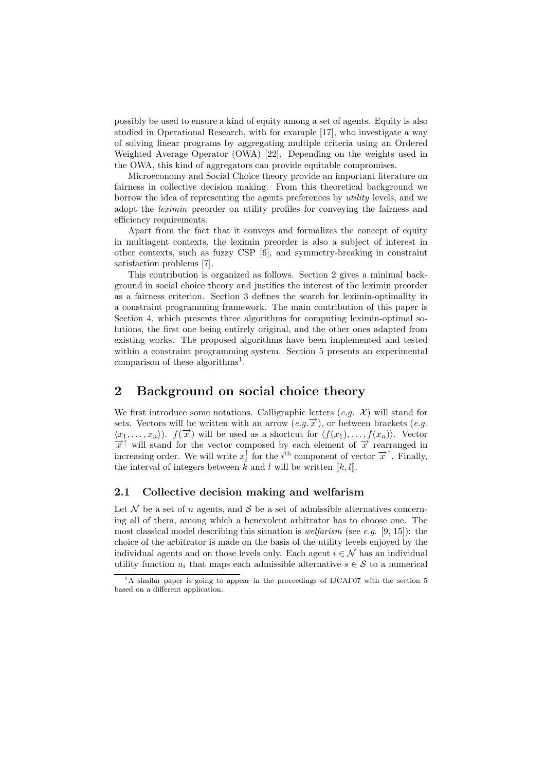possibly be used to ensure a kind of equity among a set of agents. Equity is also studied in Operational Research, with for example [17], who investigate a way of solving linear programs by aggregating multiple criteria using an Ordered Weighted Average Operator (OWA) [22]. Depending on the weights used in the OWA, this kind of aggregators can provide equitable compromises.

Microeconomy and Social Choice theory provide an important literature on fairness in collective decision making. From this theoretical background we borrow the idea of representing the agents preferences by utility levels, and we adopt the leximin preorder on utility profiles for conveying the fairness and efficiency requirements.

Apart from the fact that it conveys and formalizes the concept of equity in multiagent contexts, the leximin preorder is also a subject of interest in other contexts, such as fuzzy CSP [6], and symmetry-breaking in constraint satisfaction problems [7].

This contribution is organized as follows. Section 2 gives a minimal background in social choice theory and justifies the interest of the leximin preorder as a fairness criterion. Section 3 defines the search for leximin-optimality in a constraint programming framework. The main contribution of this paper is Section 4, which presents three algorithms for computing leximin-optimal solutions, the first one being entirely original, and the other ones adapted from existing works. The proposed algorithms have been implemented and tested within a constraint programming system. Section 5 presents an experimental comparison of these algorithms<sup>1</sup>.

## 2 Background on social choice theory

We first introduce some notations. Calligraphic letters  $(e.g. \mathcal{X})$  will stand for sets. Vectors will be written with an arrow  $(e.g.\overrightarrow{x})$ , or between brackets  $(e.g.\overrightarrow{x})$  $\langle x_1, \ldots, x_n \rangle$ .  $f(\vec{x})$  will be used as a shortcut for  $\langle f(x_1), \ldots, f(x_n) \rangle$ . Vector  $\frac{x+1}{x}$  will stand for the vector composed by each element of  $\frac{y}{x}$  rearranged in increasing order. We will write  $x_i^{\dagger}$  for the  $i^{\text{th}}$  component of vector  $\vec{x}^{\dagger}$ . Finally, the interval of integers between k and l will be written  $\llbracket k, l \rrbracket$ .

### 2.1 Collective decision making and welfarism

Let N be a set of n agents, and S be a set of admissible alternatives concerning all of them, among which a benevolent arbitrator has to choose one. The most classical model describing this situation is *welfarism* (see e.g. [9, 15]): the choice of the arbitrator is made on the basis of the utility levels enjoyed by the individual agents and on those levels only. Each agent  $i \in \mathcal{N}$  has an individual utility function  $u_i$  that maps each admissible alternative  $s \in \mathcal{S}$  to a numerical

 $1<sup>1</sup>A$  similar paper is going to appear in the proceedings of IJCAI'07 with the section 5 based on a different application.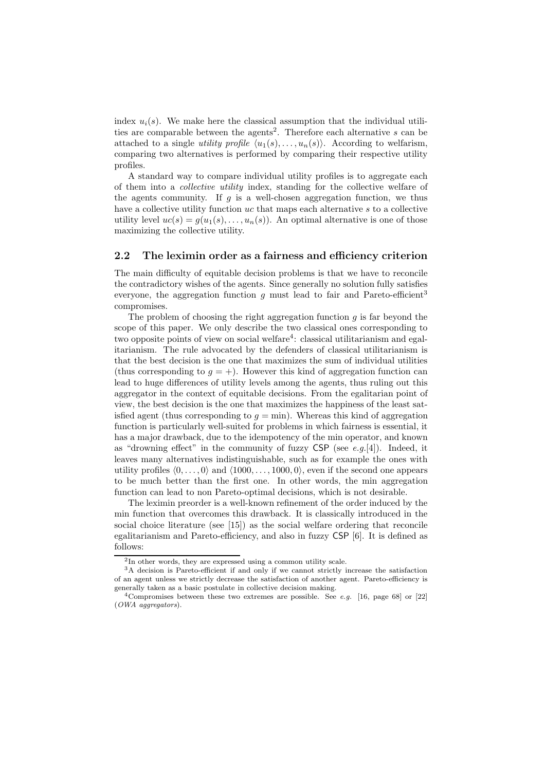index  $u_i(s)$ . We make here the classical assumption that the individual utilities are comparable between the agents<sup>2</sup>. Therefore each alternative  $s$  can be attached to a single *utility profile*  $\langle u_1(s), \ldots, u_n(s) \rangle$ . According to welfarism, comparing two alternatives is performed by comparing their respective utility profiles.

A standard way to compare individual utility profiles is to aggregate each of them into a collective utility index, standing for the collective welfare of the agents community. If  $g$  is a well-chosen aggregation function, we thus have a collective utility function uc that maps each alternative s to a collective utility level  $uc(s) = g(u_1(s), \ldots, u_n(s))$ . An optimal alternative is one of those maximizing the collective utility.

### 2.2 The leximin order as a fairness and efficiency criterion

The main difficulty of equitable decision problems is that we have to reconcile the contradictory wishes of the agents. Since generally no solution fully satisfies everyone, the aggregation function g must lead to fair and Pareto-efficient<sup>3</sup> compromises.

The problem of choosing the right aggregation function  $g$  is far beyond the scope of this paper. We only describe the two classical ones corresponding to two opposite points of view on social welfare<sup>4</sup>: classical utilitarianism and egalitarianism. The rule advocated by the defenders of classical utilitarianism is that the best decision is the one that maximizes the sum of individual utilities (thus corresponding to  $q = +$ ). However this kind of aggregation function can lead to huge differences of utility levels among the agents, thus ruling out this aggregator in the context of equitable decisions. From the egalitarian point of view, the best decision is the one that maximizes the happiness of the least satisfied agent (thus corresponding to  $g = \min$ ). Whereas this kind of aggregation function is particularly well-suited for problems in which fairness is essential, it has a major drawback, due to the idempotency of the min operator, and known as "drowning effect" in the community of fuzzy  $CSP$  (see e.g.[4]). Indeed, it leaves many alternatives indistinguishable, such as for example the ones with utility profiles  $(0, \ldots, 0)$  and  $(1000, \ldots, 1000, 0)$ , even if the second one appears to be much better than the first one. In other words, the min aggregation function can lead to non Pareto-optimal decisions, which is not desirable.

The leximin preorder is a well-known refinement of the order induced by the min function that overcomes this drawback. It is classically introduced in the social choice literature (see [15]) as the social welfare ordering that reconcile egalitarianism and Pareto-efficiency, and also in fuzzy CSP [6]. It is defined as follows:

<sup>2</sup> In other words, they are expressed using a common utility scale.

<sup>3</sup>A decision is Pareto-efficient if and only if we cannot strictly increase the satisfaction of an agent unless we strictly decrease the satisfaction of another agent. Pareto-efficiency is generally taken as a basic postulate in collective decision making.

<sup>&</sup>lt;sup>4</sup>Compromises between these two extremes are possible. See *e.g.* [16, page 68] or [22] (OWA aggregators).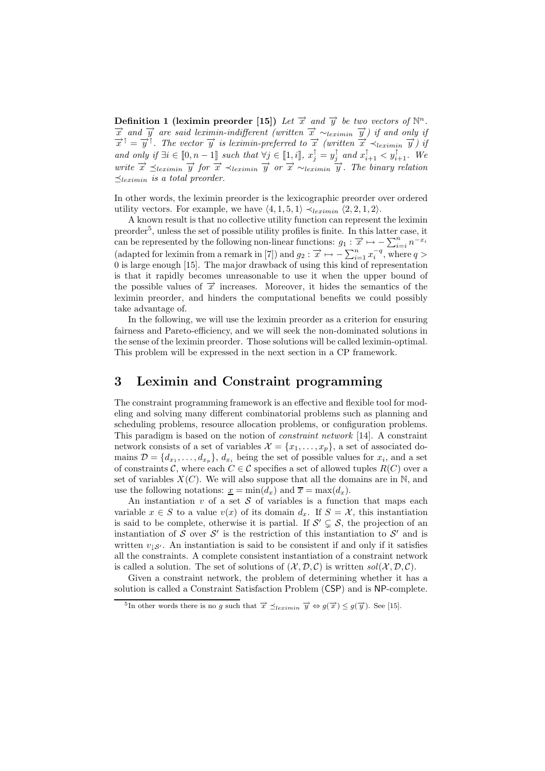Definition 1 (leximin preorder [15]) Let  $\vec{x}$  and  $\vec{y}$  be two vectors of  $\mathbb{N}^n$ .  $\vec{x}$  and  $\vec{y}$  are said leximin-indifferent (written  $\vec{x} \sim_{leximin} \vec{y}$ ) if and only if  $\vec{x}^{\dagger} = \vec{y}^{\dagger}$ . The vector  $\vec{y}$  is leximin-preferred to  $\vec{x}$  (written  $\vec{x} \prec_{leximin} \vec{y}$ ) if and only if  $\exists i \in [0, n-1]$  such that  $\forall j \in [1, i]$ ,  $x_j^{\uparrow} = y_j^{\uparrow}$  and  $x_{i+1}^{\uparrow} < y_{i+1}^{\uparrow}$ . We write  $\vec{x} \preceq_{leximin} \vec{y}$  for  $\vec{x} \prec_{leximin} \vec{y}$  or  $\vec{x} \sim_{leximin} \vec{y}$ . The binary relation  $\preceq$ leximin is a total preorder.

In other words, the leximin preorder is the lexicographic preorder over ordered utility vectors. For example, we have  $\langle 4, 1, 5, 1 \rangle \prec_{leximin} \langle 2, 2, 1, 2 \rangle$ .

A known result is that no collective utility function can represent the leximin preorder<sup>5</sup>, unless the set of possible utility profiles is finite. In this latter case, it can be represented by the following non-linear functions:  $g_1 : \overrightarrow{x} \mapsto -\sum_{i=i}^n n^{-x_i}$ (adapted for leximin from a remark in [7]) and  $g_2$ :  $\vec{x} \mapsto -\sum_{i=1}^n x_i^{-q}$ , where  $q >$ 0 is large enough [15]. The major drawback of using this kind of representation is that it rapidly becomes unreasonable to use it when the upper bound of the possible values of  $\vec{x}$  increases. Moreover, it hides the semantics of the leximin preorder, and hinders the computational benefits we could possibly take advantage of.

In the following, we will use the leximin preorder as a criterion for ensuring fairness and Pareto-efficiency, and we will seek the non-dominated solutions in the sense of the leximin preorder. Those solutions will be called leximin-optimal. This problem will be expressed in the next section in a CP framework.

### 3 Leximin and Constraint programming

The constraint programming framework is an effective and flexible tool for modeling and solving many different combinatorial problems such as planning and scheduling problems, resource allocation problems, or configuration problems. This paradigm is based on the notion of constraint network [14]. A constraint network consists of a set of variables  $\mathcal{X} = \{x_1, \ldots, x_p\}$ , a set of associated domains  $\mathcal{D} = \{d_{x_1}, \ldots, d_{x_p}\}, d_{x_i}$  being the set of possible values for  $x_i$ , and a set of constraints C, where each  $C \in \mathcal{C}$  specifies a set of allowed tuples  $R(C)$  over a set of variables  $X(C)$ . We will also suppose that all the domains are in N, and use the following notations:  $x = \min(d_x)$  and  $\overline{x} = \max(d_x)$ .

An instantiation v of a set S of variables is a function that maps each variable  $x \in S$  to a value  $v(x)$  of its domain  $d_x$ . If  $S = \mathcal{X}$ , this instantiation is said to be complete, otherwise it is partial. If  $\mathcal{S}' \subsetneq \mathcal{S}$ , the projection of an instantiation of S over S' is the restriction of this instantiation to S' and is written  $v_{\perp S'}$ . An instantiation is said to be consistent if and only if it satisfies all the constraints. A complete consistent instantiation of a constraint network is called a solution. The set of solutions of  $(\mathcal{X}, \mathcal{D}, \mathcal{C})$  is written sol $(\mathcal{X}, \mathcal{D}, \mathcal{C})$ .

Given a constraint network, the problem of determining whether it has a solution is called a Constraint Satisfaction Problem (CSP) and is NP-complete.

<sup>&</sup>lt;sup>5</sup>In other words there is no g such that  $\vec{x} \preceq_{leximin} \vec{y} \Leftrightarrow g(\vec{x}) \le g(\vec{y})$ . See [15].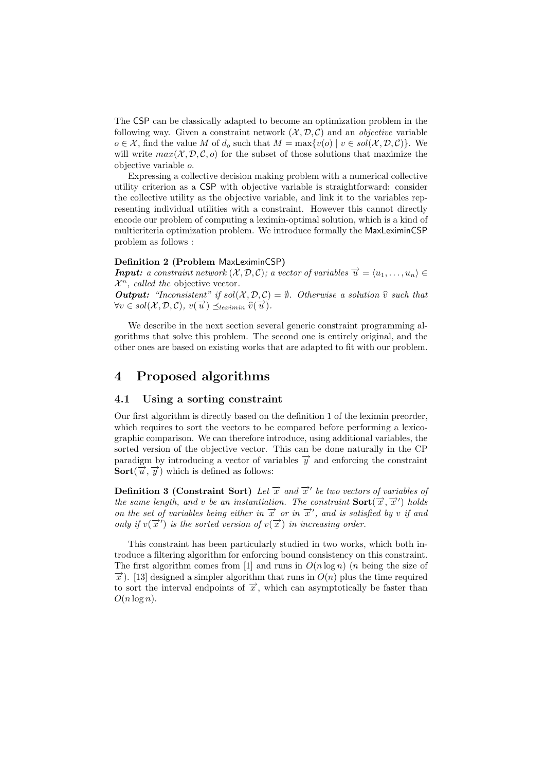The CSP can be classically adapted to become an optimization problem in the following way. Given a constraint network  $(\mathcal{X}, \mathcal{D}, \mathcal{C})$  and an *objective* variable  $o \in \mathcal{X}$ , find the value M of  $d_o$  such that  $M = \max\{v(o) \mid v \in sol(\mathcal{X}, \mathcal{D}, \mathcal{C})\}\.$  We will write  $max(X, \mathcal{D}, \mathcal{C}, o)$  for the subset of those solutions that maximize the objective variable o.

Expressing a collective decision making problem with a numerical collective utility criterion as a CSP with objective variable is straightforward: consider the collective utility as the objective variable, and link it to the variables representing individual utilities with a constraint. However this cannot directly encode our problem of computing a leximin-optimal solution, which is a kind of multicriteria optimization problem. We introduce formally the MaxLeximinCSP problem as follows :

#### Definition 2 (Problem MaxLeximinCSP)

**Input:** a constraint network  $(X, D, C)$ ; a vector of variables  $\overrightarrow{u} = \langle u_1, \ldots, u_n \rangle \in$  $\mathcal{X}^n$ , called the objective vector.

**Output:** "Inconsistent" if  $sol(X, \mathcal{D}, \mathcal{C}) = \emptyset$ . Otherwise a solution  $\hat{v}$  such that  $\forall v \in sol(\mathcal{X}, \mathcal{D}, \mathcal{C}), v(\vec{u}) \preceq_{leximin} \widehat{v}(\vec{u}).$ 

We describe in the next section several generic constraint programming algorithms that solve this problem. The second one is entirely original, and the other ones are based on existing works that are adapted to fit with our problem.

## 4 Proposed algorithms

#### 4.1 Using a sorting constraint

Our first algorithm is directly based on the definition 1 of the leximin preorder, which requires to sort the vectors to be compared before performing a lexicographic comparison. We can therefore introduce, using additional variables, the sorted version of the objective vector. This can be done naturally in the CP paradigm by introducing a vector of variables  $\overrightarrow{y}$  and enforcing the constraint **Sort** $(\vec{u}, \vec{y})$  which is defined as follows:

**Definition 3 (Constraint Sort)** Let  $\vec{x}$  and  $\vec{x}'$  be two vectors of variables of the same length, and v be an instantiation. The constraint  $\text{Sort}(\overrightarrow{x}, \overrightarrow{x}')$  holds on the set of variables being either in  $\vec{x}$  or in  $\vec{x}'$ , and is satisfied by v if and only if  $v(\vec{x}')$  is the sorted version of  $v(\vec{x})$  in increasing order.

This constraint has been particularly studied in two works, which both introduce a filtering algorithm for enforcing bound consistency on this constraint. The first algorithm comes from [1] and runs in  $O(n \log n)$  (*n* being the size of  $\vec{x}$ ). [13] designed a simpler algorithm that runs in  $O(n)$  plus the time required to sort the interval endpoints of  $\vec{x}$ , which can asymptotically be faster than  $O(n \log n)$ .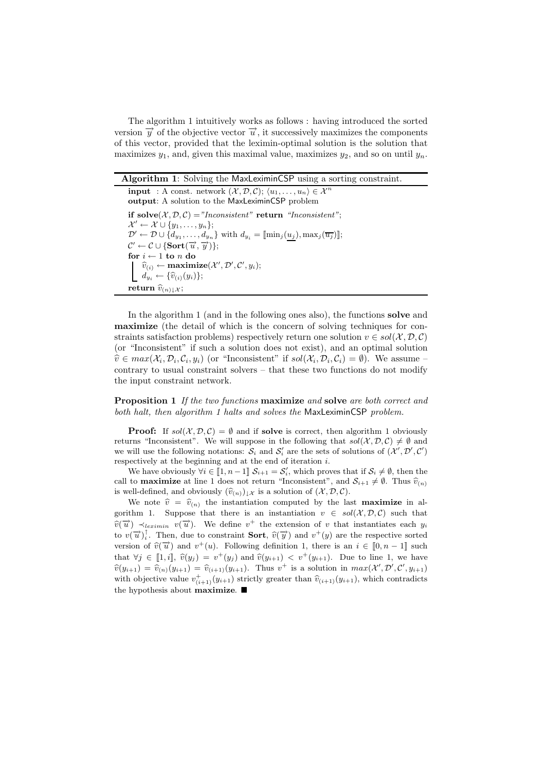The algorithm 1 intuitively works as follows : having introduced the sorted version  $\overrightarrow{y}$  of the objective vector  $\overrightarrow{u}$ , it successively maximizes the components of this vector, provided that the leximin-optimal solution is the solution that maximizes  $y_1$ , and, given this maximal value, maximizes  $y_2$ , and so on until  $y_n$ .

Algorithm 1: Solving the MaxLeximinCSP using a sorting constraint.

**input** : A const. network  $(\mathcal{X}, \mathcal{D}, \mathcal{C}); \langle u_1, \ldots, u_n \rangle \in \mathcal{X}^n$ output: A solution to the MaxLeximinCSP problem if  $solve(X, D, C) = "Inconsistent"$  return "Inconsistent";  $\mathcal{X}' \leftarrow \mathcal{X} \cup \{y_1, \ldots, y_n\};$  $\mathcal{D}' \leftarrow \mathcal{D} \cup \{d_{y_1}, \ldots, d_{y_n}\}\ \text{with}\ d_{y_i} = [\text{min}_j(u_j), \text{max}_j(\overline{u_j})];$  $\mathcal{C}' \leftarrow \mathcal{C} \cup \{\textbf{Sort}(\overrightarrow{u}, \overrightarrow{y})\};$ for  $i \leftarrow 1$  to  $n$  do  $\widehat{v}_{(i)} \leftarrow \textbf{maximize}(\mathcal{X}', \mathcal{D}', \mathcal{C}', y_i);$  $d_{y_i} \leftarrow {\widehat{v}_{(i)}(y_i)};$ return  $\widehat{v}_{(n)\downarrow\mathcal{X}}$ ;

In the algorithm 1 (and in the following ones also), the functions **solve** and maximize (the detail of which is the concern of solving techniques for constraints satisfaction problems) respectively return one solution  $v \in sol(X, \mathcal{D}, \mathcal{C})$ (or "Inconsistent" if such a solution does not exist), and an optimal solution  $\widehat{v} \in max(\mathcal{X}_i, \mathcal{D}_i, \mathcal{C}_i, y_i)$  (or "Inconsistent" if  $sol(\mathcal{X}_i, \mathcal{D}_i, \mathcal{C}_i) = \emptyset$ ). We assume contrary to usual constraint solvers – that these two functions do not modify the input constraint network.

**Proposition 1** If the two functions maximize and solve are both correct and both halt, then algorithm 1 halts and solves the MaxLeximinCSP problem.

**Proof:** If  $sol(\mathcal{X}, \mathcal{D}, \mathcal{C}) = \emptyset$  and if solve is correct, then algorithm 1 obviously returns "Inconsistent". We will suppose in the following that  $sol(\mathcal{X}, \mathcal{D}, \mathcal{C}) \neq \emptyset$  and we will use the following notations:  $S_i$  and  $S'_i$  are the sets of solutions of  $(\mathcal{X}', \mathcal{D}', \mathcal{C}')$ respectively at the beginning and at the end of iteration i.

We have obviously  $\forall i \in [1, n-1]$   $\mathcal{S}_{i+1} = \mathcal{S}'_i$ , which proves that if  $\mathcal{S}_i \neq \emptyset$ , then the call to **maximize** at line 1 does not return "Inconsistent", and  $S_{i+1} \neq \emptyset$ . Thus  $\hat{v}_{(n)}$ is well-defined, and obviously  $(\widehat{v}_{(n)})_{\downarrow\mathcal{X}}$  is a solution of  $(\mathcal{X}, \mathcal{D}, \mathcal{C})$ .

We note  $\hat{v} = \hat{v}_{(n)}$  the instantiation computed by the last **maximize** in algorithm 1. Suppose that there is an instantiation  $v \in sol(X, \mathcal{D}, \mathcal{C})$  such that  $\widetilde{v}(\vec{u}) \prec_{leximin} \widetilde{v}(\vec{u})$ . We define  $v^+$  the extension of v that instantiates each  $y_i$ to  $v(\vec{u})_i^{\dagger}$ . Then, due to constraint **Sort**,  $\hat{v}(\vec{y})$  and  $v^+(y)$  are the respective sorted version of  $\widehat{v}(\vec{u})$  and  $v^+(u)$ . Following definition 1, there is an  $i \in [0, n-1]$  such that  $\forall j \in [1, i], \hat{v}(y_j) = v^+(y_j)$  and  $\hat{v}(y_{i+1}) < v^+(y_{i+1})$ . Due to line 1, we have  $\widehat{v}(y_{i+1}) = \widehat{v}_{(n)}(y_{i+1}) = \widehat{v}_{(i+1)}(y_{i+1})$ . Thus  $v^+$  is a solution in  $max(\mathcal{X}', \mathcal{D}', \mathcal{C}', y_{i+1})$ with objective value  $v^+_{(i+1)}(y_{i+1})$  strictly greater than  $\hat{v}_{(i+1)}(y_{i+1})$ , which contradicts the hypothesis about maximize.  $\blacksquare$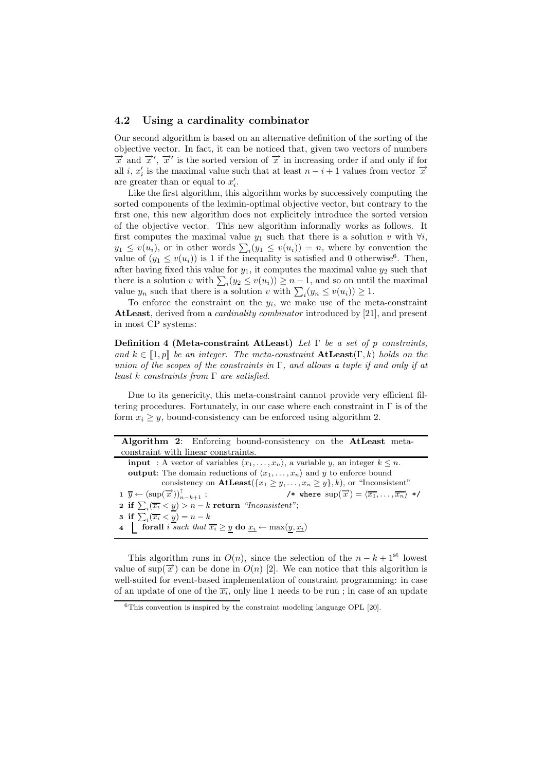#### 4.2 Using a cardinality combinator

Our second algorithm is based on an alternative definition of the sorting of the objective vector. In fact, it can be noticed that, given two vectors of numbers  $\overrightarrow{x}$  and  $\overrightarrow{x}'$ ,  $\overrightarrow{x}'$  is the sorted version of  $\overrightarrow{x}$  in increasing order if and only if for all i,  $x'_i$  is the maximal value such that at least  $n - i + 1$  values from vector  $\vec{x}$ are greater than or equal to  $x'_i$ .

Like the first algorithm, this algorithm works by successively computing the sorted components of the leximin-optimal objective vector, but contrary to the first one, this new algorithm does not explicitely introduce the sorted version of the objective vector. This new algorithm informally works as follows. It first computes the maximal value  $y_1$  such that there is a solution v with  $\forall i$ ,  $y_1 \leq v(u_i)$ , or in other words  $\sum_i (y_1 \leq v(u_i)) = n$ , where by convention the value of  $(y_1 \leq v(u_i))$  is 1 if the inequality is satisfied and 0 otherwise<sup>6</sup>. Then, after having fixed this value for  $y_1$ , it computes the maximal value  $y_2$  such that there is a solution v with  $\sum_i (y_2 \le v(u_i)) \ge n-1$ , and so on until the maximal value  $y_n$  such that there is a solution v with  $\sum_i (y_n \le v(u_i)) \ge 1$ .

To enforce the constraint on the  $y_i$ , we make use of the meta-constraint AtLeast, derived from a *cardinality combinator* introduced by [21], and present in most CP systems:

Definition 4 (Meta-constraint AtLeast) Let  $\Gamma$  be a set of p constraints, and  $k \in [1, p]$  be an integer. The meta-constraint  $\textbf{AtLeast}(\Gamma, k)$  holds on the union of the scopes of the constraints in  $\Gamma$ , and allows a tuple if and only if at least k constraints from  $\Gamma$  are satisfied.

Due to its genericity, this meta-constraint cannot provide very efficient filtering procedures. Fortunately, in our case where each constraint in  $\Gamma$  is of the form  $x_i \geq y$ , bound-consistency can be enforced using algorithm 2.

| Algorithm 2: Enforcing bound-consistency on the AtLeast meta-                                                                                                                                  |
|------------------------------------------------------------------------------------------------------------------------------------------------------------------------------------------------|
| constraint with linear constraints.                                                                                                                                                            |
| <b>input</b> : A vector of variables $\langle x_1, \ldots, x_n \rangle$ , a variable y, an integer $k \leq n$ .                                                                                |
| <b>output:</b> The domain reductions of $\langle x_1, \ldots, x_n \rangle$ and y to enforce bound                                                                                              |
| consistency on $\textbf{AtLeast}(\{x_1 \geq y,\ldots,x_n \geq y\},k)$ , or "Inconsistent"                                                                                                      |
| $\mathbf{1} \ \overline{y} \leftarrow (\sup(\overrightarrow{x}))_{n-k+1}^{\dagger}$ ;<br>/* where $\text{sup}(\overrightarrow{x}) = \langle \overline{x_1}, \ldots, \overline{x_n} \rangle$ */ |
| 2 if $\sum_i (\overline{x_i} < y) > n - k$ return "Inconsistent";                                                                                                                              |
| <b>3</b> if $\sum_i (\overline{x_i} \leq y) = n - k$                                                                                                                                           |
| 4 <b>forall</b> i such that $\overline{x_i} \geq y$ <b>do</b> $\underline{x_i} \leftarrow \max(y, \underline{x_i})$                                                                            |

This algorithm runs in  $O(n)$ , since the selection of the  $n - k + 1$ <sup>st</sup> lowest value of sup( $\vec{x}$ ) can be done in  $O(n)$  [2]. We can notice that this algorithm is well-suited for event-based implementation of constraint programming: in case of an update of one of the  $\overline{x_i}$ , only line 1 needs to be run; in case of an update

 $6$ This convention is inspired by the constraint modeling language OPL [20].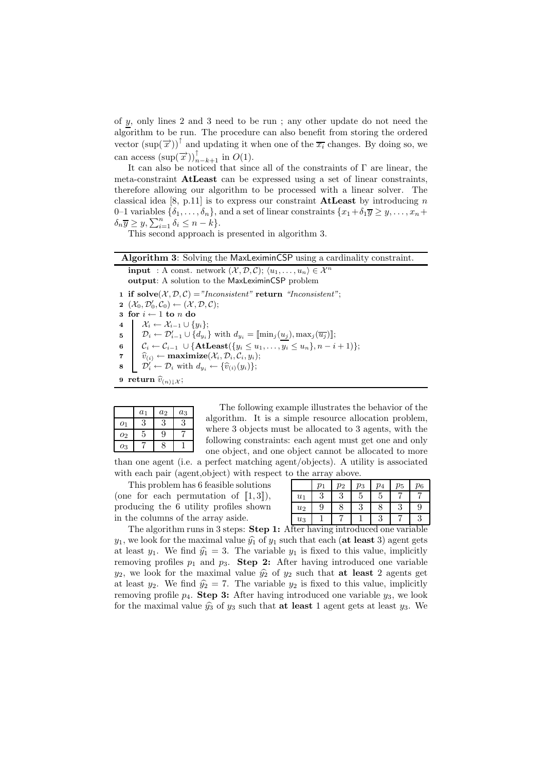of y, only lines 2 and 3 need to be run ; any other update do not need the algorithm to be run. The procedure can also benefit from storing the ordered vector  $(\sup(\vec{x}))^{\uparrow}$  and updating it when one of the  $\overline{x_i}$  changes. By doing so, we can access  $(\sup(\overrightarrow{x}))_{n-k+1}^{\uparrow}$  in  $O(1)$ .

It can also be noticed that since all of the constraints of Γ are linear, the meta-constraint AtLeast can be expressed using a set of linear constraints, therefore allowing our algorithm to be processed with a linear solver. The classical idea [8, p.11] is to express our constraint **AtLeast** by introducing n 0–1 variables  $\{\delta_1,\ldots,\delta_n\}$ , and a set of linear constraints  $\{x_1+\delta_1\overline{y}\geq y,\ldots,x_n+\delta_n\}$  $\delta_n \overline{y} \geq y, \sum_{i=1}^n \delta_i \leq n-k$ .

This second approach is presented in algorithm 3.

#### Algorithm 3: Solving the MaxLeximinCSP using a cardinality constraint.

**input** : A const. network  $(\mathcal{X}, \mathcal{D}, \mathcal{C})$ ;  $\langle u_1, \ldots, u_n \rangle \in \mathcal{X}^n$ output: A solution to the MaxLeximinCSP problem 1 if solve $(X, \mathcal{D}, \mathcal{C}) = "Inconsistent"$  return "Inconsistent"; 2  $(\mathcal{X}_0, \mathcal{D}'_0, \mathcal{C}_0) \leftarrow (\mathcal{X}, \mathcal{D}, \mathcal{C});$ 3 for  $i \leftarrow 1$  to n do 4  $\mathcal{X}_i \leftarrow \mathcal{X}_{i-1} \cup \{y_i\};$ 5  $\mathcal{D}_i \leftarrow \mathcal{D}_{i-1}' \cup \{d_{y_i}\}\$  with  $d_{y_i} = [\min_j(\underline{u_j}), \max_j(\overline{u_j})];$ 6  $\mathcal{C}_i \leftarrow \mathcal{C}_{i-1} \cup \{ \textbf{AtLeast}(\{y_i \leq u_1, \ldots, \overline{y_i} \leq u_n\}, n-i+1) \};$ 7  $\widehat{v}_{(i)} \leftarrow \text{maximize}(\mathcal{X}_i, \mathcal{D}_i, \mathcal{C}_i, y_i);$ 8  $\mathcal{D}'_i \leftarrow \mathcal{D}_i$  with  $d_{y_i} \leftarrow {\hat{v}_{(i)}(y_i)};$ 

9 return  $\widehat{v}_{(n)\downarrow\mathcal{X}}$ ;

|                  | $a_1$ | $a_2$ | $a_3$ |
|------------------|-------|-------|-------|
| $\overline{O_1}$ | 3     | 3     | 3     |
| 02               | 5     | 9     |       |
| 03               |       | 8     |       |

The following example illustrates the behavior of the algorithm. It is a simple resource allocation problem, where 3 objects must be allocated to 3 agents, with the following constraints: each agent must get one and only one object, and one object cannot be allocated to more

than one agent (i.e. a perfect matching agent/objects). A utility is associated with each pair (agent,object) with respect to the array above.

This problem has 6 feasible solutions (one for each permutation of  $[1, 3]$ ), producing the 6 utility profiles shown in the columns of the array aside.

|       | $p_1$  | $p_2$ | $p_3$ | p <sub>4</sub> | $p_5$  | $p_6$ |
|-------|--------|-------|-------|----------------|--------|-------|
| $u_1$ | 9<br>◡ | ಀ     | G     | G              |        |       |
| $u_2$ | 9      |       | ಀ     | 8              | റ<br>⊍ | 9     |
| $u_3$ |        |       |       | ച<br>ಀ         |        | ಲ     |

The algorithm runs in 3 steps: **Step 1:** After having introduced one variable  $y_1$ , we look for the maximal value  $\hat{y}_1$  of  $y_1$  such that each (at least 3) agent gets at least  $y_1$ . We find  $\hat{y}_1 = 3$ . The variable  $y_1$  is fixed to this value, implicitly removing profiles  $p_1$  and  $p_3$ . Step 2: After having introduced one variable  $y_2$ , we look for the maximal value  $\hat{y}_2$  of  $y_2$  such that **at least** 2 agents get at least  $y_2$ . We find  $\hat{y}_2 = 7$ . The variable  $y_2$  is fixed to this value, implicitly removing profile  $p_4$ . Step 3: After having introduced one variable  $y_3$ , we look for the maximal value  $\hat{y}_3$  of  $y_3$  such that **at least** 1 agent gets at least  $y_3$ . We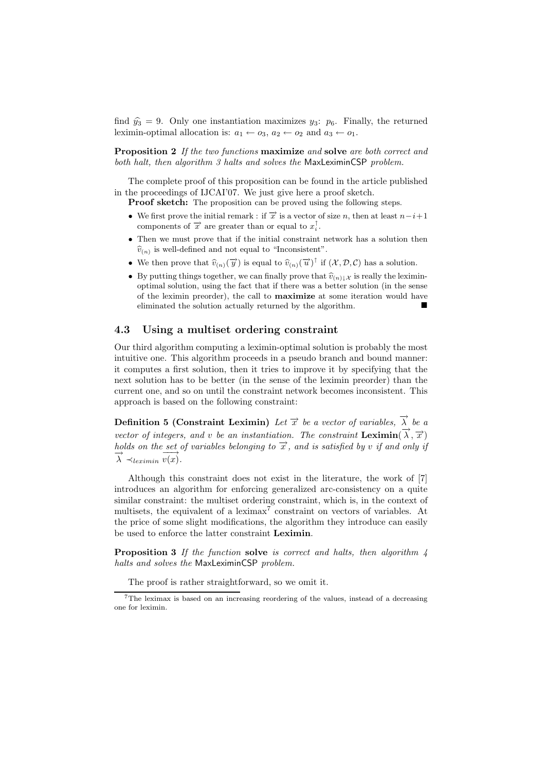find  $\hat{y}_3 = 9$ . Only one instantiation maximizes  $y_3$ :  $p_6$ . Finally, the returned leximin-optimal allocation is:  $a_1 \leftarrow o_3$ ,  $a_2 \leftarrow o_2$  and  $a_3 \leftarrow o_1$ .

**Proposition 2** If the two functions maximize and solve are both correct and both halt, then algorithm 3 halts and solves the MaxLeximinCSP problem.

The complete proof of this proposition can be found in the article published in the proceedings of IJCAI'07. We just give here a proof sketch.

Proof sketch: The proposition can be proved using the following steps.

- We first prove the initial remark : if  $\vec{x}$  is a vector of size n, then at least  $n-i+1$ components of  $\vec{x}$  are greater than or equal to  $x_i^{\uparrow}$ .
- Then we must prove that if the initial constraint network has a solution then  $\widehat{v}_{(n)}$  is well-defined and not equal to "Inconsistent".
- We then prove that  $\widehat{v}_{(n)}(\overrightarrow{y})$  is equal to  $\widehat{v}_{(n)}(\overrightarrow{u})^{\dagger}$  if  $(\mathcal{X}, \mathcal{D}, \mathcal{C})$  has a solution.
- By putting things together, we can finally prove that  $\hat{v}_{(n)\downarrow\chi}$  is really the leximinoptimal solution, using the fact that if there was a better solution (in the sense of the leximin preorder), the call to maximize at some iteration would have eliminated the solution actually returned by the algorithm.

#### 4.3 Using a multiset ordering constraint

Our third algorithm computing a leximin-optimal solution is probably the most intuitive one. This algorithm proceeds in a pseudo branch and bound manner: it computes a first solution, then it tries to improve it by specifying that the next solution has to be better (in the sense of the leximin preorder) than the current one, and so on until the constraint network becomes inconsistent. This approach is based on the following constraint:

**Definition 5 (Constraint Leximin)** Let  $\vec{x}$  be a vector of variables,  $\vec{\lambda}$  be a vector of integers, and v be an instantiation. The constraint  $\textbf{Leximin}(\vec{\lambda}, \vec{x})$ holds on the set of variables belonging to  $\vec{x}$ , and is satisfied by v if and only if  $\overrightarrow{\lambda} \prec_{leximin} \overrightarrow{v(x)}$ .

Although this constraint does not exist in the literature, the work of [7] introduces an algorithm for enforcing generalized arc-consistency on a quite similar constraint: the multiset ordering constraint, which is, in the context of multisets, the equivalent of a leximax<sup>7</sup> constraint on vectors of variables. At the price of some slight modifications, the algorithm they introduce can easily be used to enforce the latter constraint Leximin.

**Proposition 3** If the function solve is correct and halts, then algorithm  $\lambda$ halts and solves the MaxLeximinCSP problem.

The proof is rather straightforward, so we omit it.

<sup>7</sup>The leximax is based on an increasing reordering of the values, instead of a decreasing one for leximin.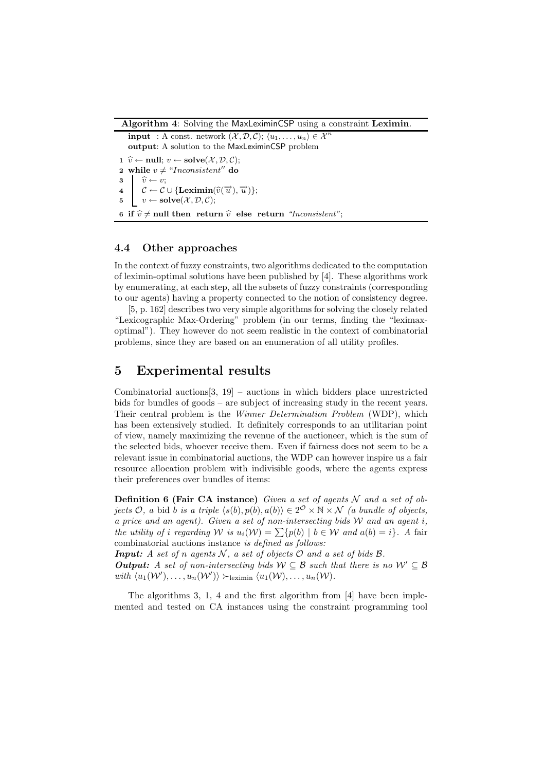Algorithm 4: Solving the MaxLeximinCSP using a constraint Leximin.

**input** : A const. network  $(\mathcal{X}, \mathcal{D}, \mathcal{C}); \langle u_1, \ldots, u_n \rangle \in \mathcal{X}^n$ output: A solution to the MaxLeximinCSP problem 1  $\hat{v} \leftarrow \text{null}; v \leftarrow \text{solve}(\mathcal{X}, \mathcal{D}, \mathcal{C});$ 2 while  $v \neq "Inconsistent"$  do 3  $\hat{v} \leftarrow v;$ <br>4  $\hat{c} \leftarrow \hat{c}$  $\mathcal{C} \leftarrow \mathcal{C} \cup \{ \textbf{Leximin}(\widehat{v}(\overrightarrow{u}),\overrightarrow{u}) \};$ 5  $v \leftarrow \textbf{solve}(\mathcal{X}, \mathcal{D}, \mathcal{C});$ 6 if  $\hat{v} \neq$  null then return  $\hat{v}$  else return "Inconsistent";

#### 4.4 Other approaches

In the context of fuzzy constraints, two algorithms dedicated to the computation of leximin-optimal solutions have been published by [4]. These algorithms work by enumerating, at each step, all the subsets of fuzzy constraints (corresponding to our agents) having a property connected to the notion of consistency degree.

[5, p. 162] describes two very simple algorithms for solving the closely related "Lexicographic Max-Ordering" problem (in our terms, finding the "leximaxoptimal"). They however do not seem realistic in the context of combinatorial problems, since they are based on an enumeration of all utility profiles.

### 5 Experimental results

Combinatorial auctions  $[3, 19]$  – auctions in which bidders place unrestricted bids for bundles of goods – are subject of increasing study in the recent years. Their central problem is the Winner Determination Problem (WDP), which has been extensively studied. It definitely corresponds to an utilitarian point of view, namely maximizing the revenue of the auctioneer, which is the sum of the selected bids, whoever receive them. Even if fairness does not seem to be a relevant issue in combinatorial auctions, the WDP can however inspire us a fair resource allocation problem with indivisible goods, where the agents express their preferences over bundles of items:

**Definition 6 (Fair CA instance)** Given a set of agents  $N$  and a set of objects  $\mathcal{O}$ , a bid b is a triple  $\langle s(b), p(b), a(b) \rangle \in 2^{\mathcal{O}} \times \mathbb{N} \times \mathcal{N}$  (a bundle of objects, a price and an agent). Given a set of non-intersecting bids  $W$  and an agent i, the utility of i regarding W is  $u_i(\mathcal{W}) = \sum \{p(b) | b \in \mathcal{W} \text{ and } a(b) = i\}.$  A fair combinatorial auctions instance is defined as follows:

**Input:** A set of n agents N, a set of objects  $\mathcal{O}$  and a set of bids  $\mathcal{B}$ .

**Output:** A set of non-intersecting bids  $W \subseteq B$  such that there is no  $W' \subseteq B$ with  $\langle u_1(\mathcal{W}'), \ldots, u_n(\mathcal{W}') \rangle \succ_{\text{leximin}} \langle u_1(\mathcal{W}), \ldots, u_n(\mathcal{W}) \rangle$ .

The algorithms 3, 1, 4 and the first algorithm from [4] have been implemented and tested on CA instances using the constraint programming tool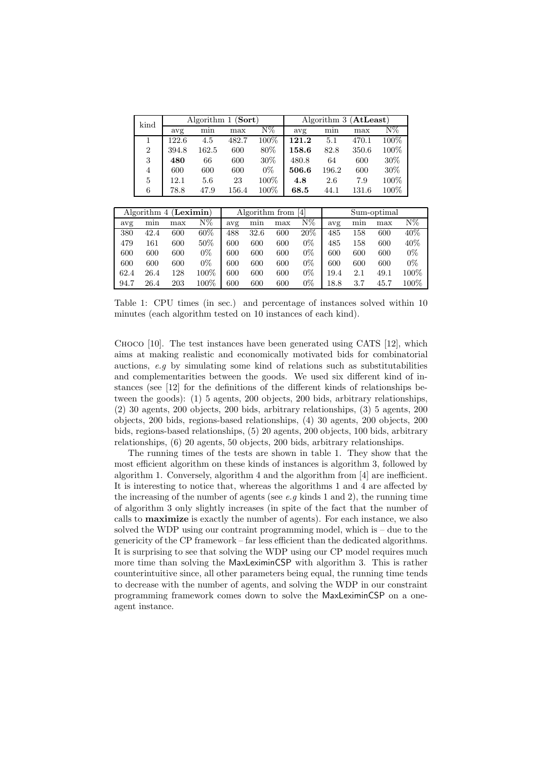| kind           |       |       | Algorithm 1 $(Sort)$ |         | Algorithm $3$ (AtLeast) |       |       |         |
|----------------|-------|-------|----------------------|---------|-------------------------|-------|-------|---------|
|                | avg   | mın   | max                  | N%      | avg                     | mın   | max   | N%      |
| 1              | 122.6 | 4.5   | 482.7                | $100\%$ | 121.2                   | 5.1   | 470.1 | $100\%$ |
| $\overline{2}$ | 394.8 | 162.5 | 600                  | 80%     | 158.6                   | 82.8  | 350.6 | 100%    |
| 3              | 480   | 66    | 600                  | $30\%$  | 480.8                   | 64    | 600   | 30\%    |
| 4              | 600   | 600   | 600                  | $0\%$   | 506.6                   | 196.2 | 600   | 30%     |
| 5              | 12.1  | 5.6   | 23                   | $100\%$ | 4.8                     | 2.6   | 7.9   | $100\%$ |
| 6              | 78.8  | 47.9  | 156.4                | $100\%$ | 68.5                    | 44.1  | 131.6 | $100\%$ |

|      |      | Algorithm $4$ (Leximin) |         |     |      | Algorithm from<br> 4 <br>Sum-optimal |       |      |     |      |       |
|------|------|-------------------------|---------|-----|------|--------------------------------------|-------|------|-----|------|-------|
| avg  | mın  | max                     | N%      | avg | min  | max                                  | N%    | avg  | min | max  | N%    |
| 380  | 42.4 | 600                     | $60\%$  | 488 | 32.6 | 600                                  | 20%   | 485  | 158 | 600  | 40%   |
| 479  | 161  | 600                     | 50%     | 600 | 600  | 600                                  | $0\%$ | 485  | 158 | 600  | 40%   |
| 600  | 600  | 600                     | $0\%$   | 600 | 600  | 600                                  | $0\%$ | 600  | 600 | 600  | $0\%$ |
| 600  | 600  | 600                     | $0\%$   | 600 | 600  | 600                                  | $0\%$ | 600  | 600 | 600  | $0\%$ |
| 62.4 | 26.4 | 128                     | $100\%$ | 600 | 600  | 600                                  | $0\%$ | 19.4 | 2.1 | 49.1 | 100%  |
| 94.7 | 26.4 | 203                     | $100\%$ | 600 | 600  | 600                                  | $0\%$ | 18.8 | 3.7 | 45.7 | 100%  |

Table 1: CPU times (in sec.) and percentage of instances solved within 10 minutes (each algorithm tested on 10 instances of each kind).

Choco [10]. The test instances have been generated using CATS [12], which aims at making realistic and economically motivated bids for combinatorial auctions, e.g by simulating some kind of relations such as substitutabilities and complementarities between the goods. We used six different kind of instances (see [12] for the definitions of the different kinds of relationships between the goods): (1) 5 agents, 200 objects, 200 bids, arbitrary relationships, (2) 30 agents, 200 objects, 200 bids, arbitrary relationships, (3) 5 agents, 200 objects, 200 bids, regions-based relationships, (4) 30 agents, 200 objects, 200 bids, regions-based relationships, (5) 20 agents, 200 objects, 100 bids, arbitrary relationships, (6) 20 agents, 50 objects, 200 bids, arbitrary relationships.

The running times of the tests are shown in table 1. They show that the most efficient algorithm on these kinds of instances is algorithm 3, followed by algorithm 1. Conversely, algorithm 4 and the algorithm from [4] are inefficient. It is interesting to notice that, whereas the algorithms 1 and 4 are affected by the increasing of the number of agents (see  $e.g$  kinds 1 and 2), the running time of algorithm 3 only slightly increases (in spite of the fact that the number of calls to maximize is exactly the number of agents). For each instance, we also solved the WDP using our contraint programming model, which is – due to the genericity of the CP framework – far less efficient than the dedicated algorithms. It is surprising to see that solving the WDP using our CP model requires much more time than solving the MaxLeximinCSP with algorithm 3. This is rather counterintuitive since, all other parameters being equal, the running time tends to decrease with the number of agents, and solving the WDP in our constraint programming framework comes down to solve the MaxLeximinCSP on a oneagent instance.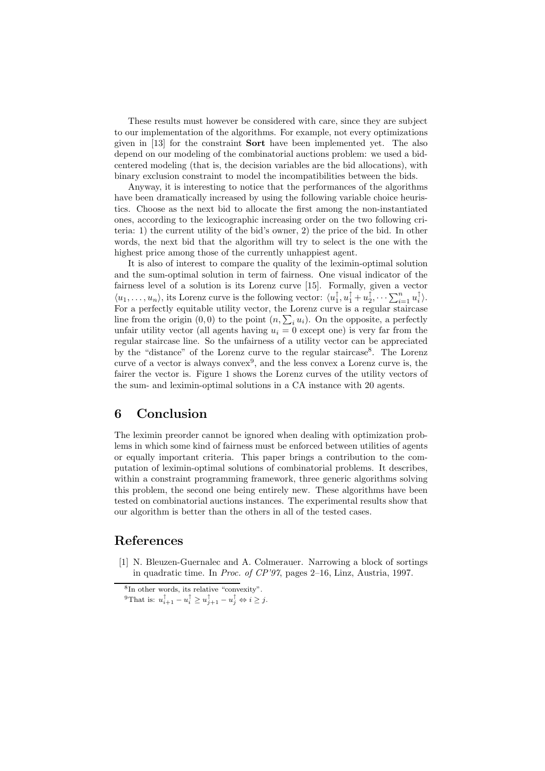These results must however be considered with care, since they are subject to our implementation of the algorithms. For example, not every optimizations given in [13] for the constraint Sort have been implemented yet. The also depend on our modeling of the combinatorial auctions problem: we used a bidcentered modeling (that is, the decision variables are the bid allocations), with binary exclusion constraint to model the incompatibilities between the bids.

Anyway, it is interesting to notice that the performances of the algorithms have been dramatically increased by using the following variable choice heuristics. Choose as the next bid to allocate the first among the non-instantiated ones, according to the lexicographic increasing order on the two following criteria: 1) the current utility of the bid's owner, 2) the price of the bid. In other words, the next bid that the algorithm will try to select is the one with the highest price among those of the currently unhappiest agent.

It is also of interest to compare the quality of the leximin-optimal solution and the sum-optimal solution in term of fairness. One visual indicator of the fairness level of a solution is its Lorenz curve [15]. Formally, given a vector  $\langle u_1,\ldots,u_n\rangle$ , its Lorenz curve is the following vector:  $\langle u_1^\uparrow, u_1^\uparrow + u_2^\uparrow, \cdots \sum_{i=1}^n u_i^\uparrow \rangle$ . For a perfectly equitable utility vector, the Lorenz curve is a regular staircase line from the origin  $(0,0)$  to the point  $(n, \sum_i u_i)$ . On the opposite, a perfectly unfair utility vector (all agents having  $u_i = 0$  except one) is very far from the regular staircase line. So the unfairness of a utility vector can be appreciated by the "distance" of the Lorenz curve to the regular staircase 8 . The Lorenz curve of a vector is always convex<sup>9</sup>, and the less convex a Lorenz curve is, the fairer the vector is. Figure 1 shows the Lorenz curves of the utility vectors of the sum- and leximin-optimal solutions in a CA instance with 20 agents.

## 6 Conclusion

The leximin preorder cannot be ignored when dealing with optimization problems in which some kind of fairness must be enforced between utilities of agents or equally important criteria. This paper brings a contribution to the computation of leximin-optimal solutions of combinatorial problems. It describes, within a constraint programming framework, three generic algorithms solving this problem, the second one being entirely new. These algorithms have been tested on combinatorial auctions instances. The experimental results show that our algorithm is better than the others in all of the tested cases.

## References

[1] N. Bleuzen-Guernalec and A. Colmerauer. Narrowing a block of sortings in quadratic time. In Proc. of CP'97, pages 2–16, Linz, Austria, 1997.

<sup>8</sup> In other words, its relative "convexity".

<sup>&</sup>lt;sup>9</sup>That is:  $u_{i+1}^{\uparrow} - u_i^{\uparrow} \ge u_{j+1}^{\uparrow} - u_j^{\uparrow} \Leftrightarrow i \ge j$ .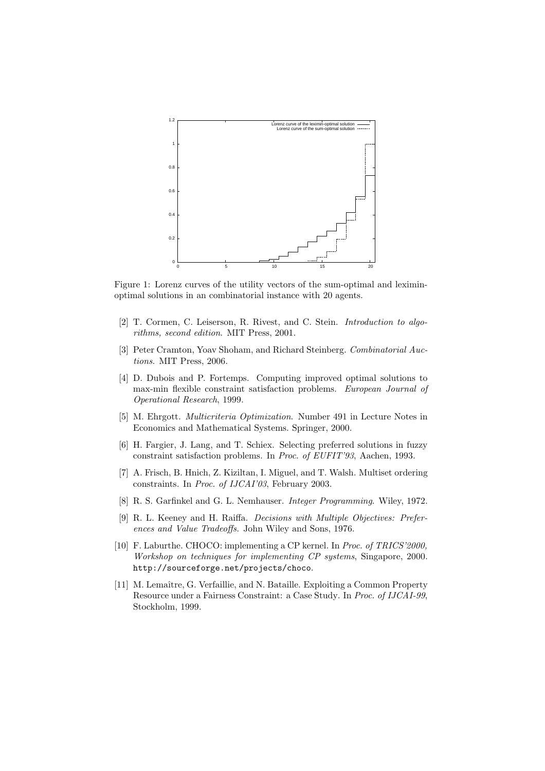

Figure 1: Lorenz curves of the utility vectors of the sum-optimal and leximinoptimal solutions in an combinatorial instance with 20 agents.

- [2] T. Cormen, C. Leiserson, R. Rivest, and C. Stein. *Introduction to algo*rithms, second edition. MIT Press, 2001.
- [3] Peter Cramton, Yoav Shoham, and Richard Steinberg. Combinatorial Auctions. MIT Press, 2006.
- [4] D. Dubois and P. Fortemps. Computing improved optimal solutions to max-min flexible constraint satisfaction problems. European Journal of Operational Research, 1999.
- [5] M. Ehrgott. Multicriteria Optimization. Number 491 in Lecture Notes in Economics and Mathematical Systems. Springer, 2000.
- [6] H. Fargier, J. Lang, and T. Schiex. Selecting preferred solutions in fuzzy constraint satisfaction problems. In Proc. of EUFIT'93, Aachen, 1993.
- [7] A. Frisch, B. Hnich, Z. Kiziltan, I. Miguel, and T. Walsh. Multiset ordering constraints. In Proc. of IJCAI'03, February 2003.
- [8] R. S. Garfinkel and G. L. Nemhauser. Integer Programming. Wiley, 1972.
- [9] R. L. Keeney and H. Raiffa. Decisions with Multiple Objectives: Preferences and Value Tradeoffs. John Wiley and Sons, 1976.
- [10] F. Laburthe. CHOCO: implementing a CP kernel. In Proc. of TRICS'2000, Workshop on techniques for implementing CP systems, Singapore, 2000. http://sourceforge.net/projects/choco.
- [11] M. Lemaître, G. Verfaillie, and N. Bataille. Exploiting a Common Property Resource under a Fairness Constraint: a Case Study. In Proc. of IJCAI-99, Stockholm, 1999.